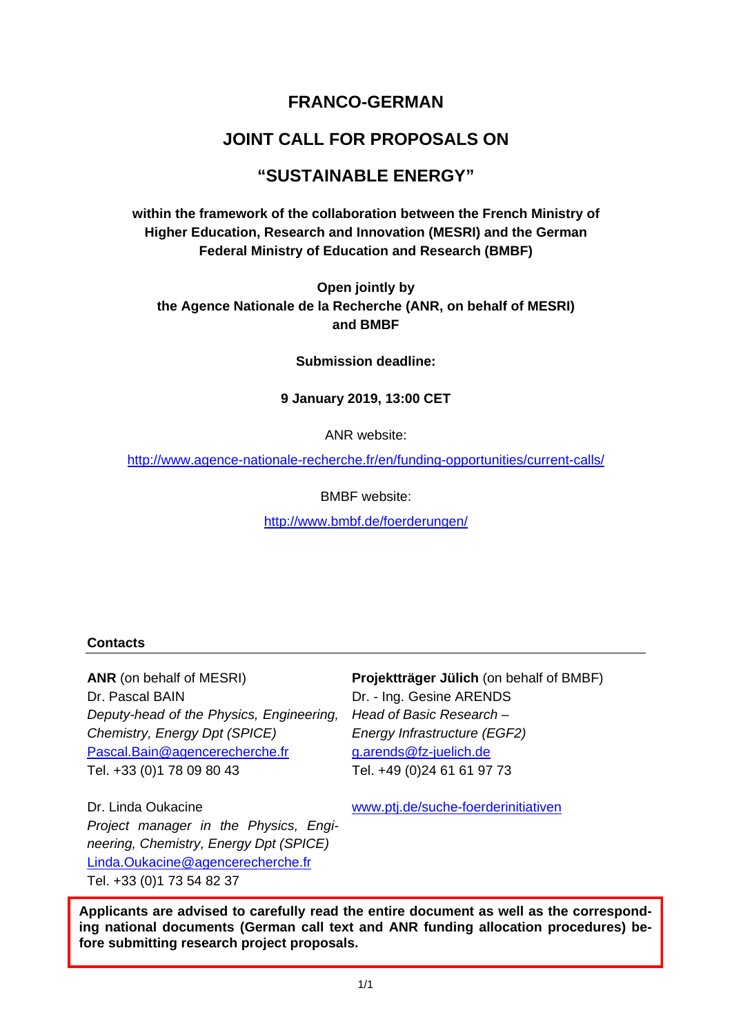# **FRANCO-GERMAN**

# **JOINT CALL FOR PROPOSALS ON**

# **"SUSTAINABLE ENERGY"**

**within the framework of the collaboration between the French Ministry of Higher Education, Research and Innovation (MESRI) and the German Federal Ministry of Education and Research (BMBF)** 

**Open jointly by the Agence Nationale de la Recherche (ANR, on behalf of MESRI) and BMBF** 

**Submission deadline:** 

#### **9 January 2019, 13:00 CET**

ANR website:

http://www.agence-nationale-recherche.fr/en/funding-opportunities/current-calls/

BMBF website:

http://www.bmbf.de/foerderungen/

#### **Contacts**

**ANR** (on behalf of MESRI) Dr. Pascal BAIN *Deputy-head of the Physics, Engineering, Chemistry, Energy Dpt (SPICE)*  Pascal.Bain@agencerecherche.fr Tel. +33 (0)1 78 09 80 43

**Projektträger Jülich** (on behalf of BMBF) Dr. - Ing. Gesine ARENDS *Head of Basic Research – Energy Infrastructure (EGF2)* g.arends@fz-juelich.de Tel. +49 (0)24 61 61 97 73

Dr. Linda Oukacine *Project manager in the Physics, Engineering, Chemistry, Energy Dpt (SPICE)*  Linda.Oukacine@agencerecherche.fr Tel. +33 (0)1 73 54 82 37

www.ptj.de/suche-foerderinitiativen

 **fore submitting research project proposals. Applicants are advised to carefully read the entire document as well as the corresponding national documents (German call text and ANR funding allocation procedures) be-**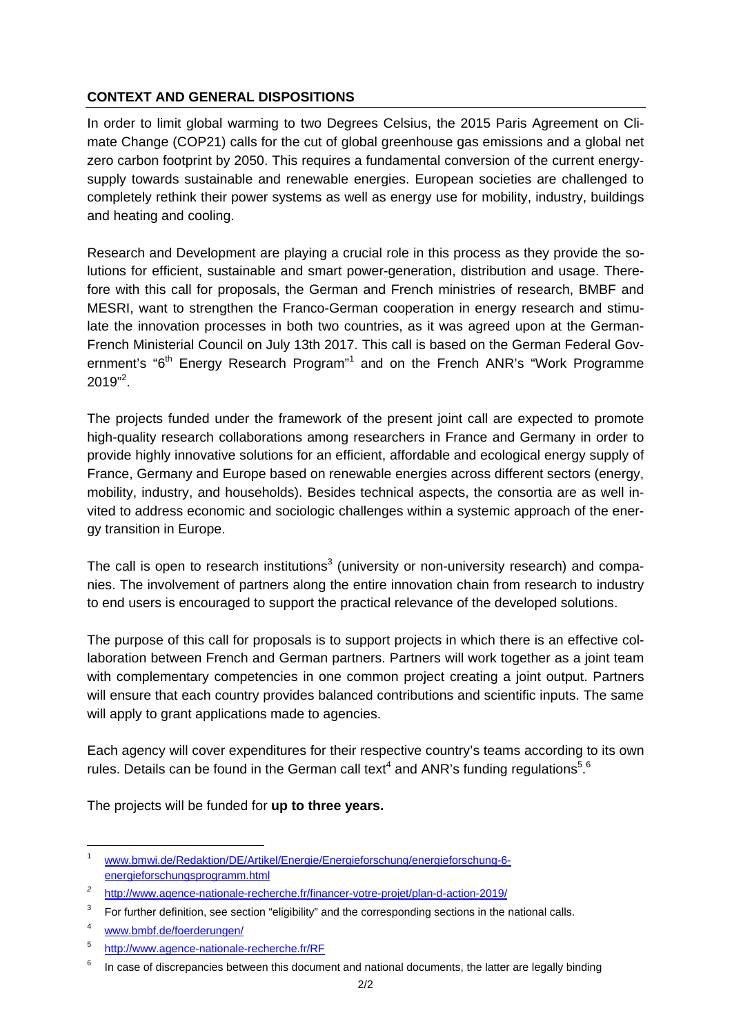# **CONTEXT AND GENERAL DISPOSITIONS**

In order to limit global warming to two Degrees Celsius, the 2015 Paris Agreement on Climate Change (COP21) calls for the cut of global greenhouse gas emissions and a global net zero carbon footprint by 2050. This requires a fundamental conversion of the current energysupply towards sustainable and renewable energies. European societies are challenged to completely rethink their power systems as well as energy use for mobility, industry, buildings and heating and cooling.

Research and Development are playing a crucial role in this process as they provide the solutions for efficient, sustainable and smart power-generation, distribution and usage. Therefore with this call for proposals, the German and French ministries of research, BMBF and MESRI, want to strengthen the Franco-German cooperation in energy research and stimulate the innovation processes in both two countries, as it was agreed upon at the German-French Ministerial Council on July 13th 2017. This call is based on the German Federal Government's "6<sup>th</sup> Energy Research Program"<sup>1</sup> and on the French ANR's "Work Programme  $2019"^{2}.$ 

The projects funded under the framework of the present joint call are expected to promote high-quality research collaborations among researchers in France and Germany in order to provide highly innovative solutions for an efficient, affordable and ecological energy supply of France, Germany and Europe based on renewable energies across different sectors (energy, mobility, industry, and households). Besides technical aspects, the consortia are as well invited to address economic and sociologic challenges within a systemic approach of the energy transition in Europe.

The call is open to research institutions<sup>3</sup> (university or non-university research) and companies. The involvement of partners along the entire innovation chain from research to industry to end users is encouraged to support the practical relevance of the developed solutions.

The purpose of this call for proposals is to support projects in which there is an effective collaboration between French and German partners. Partners will work together as a joint team with complementary competencies in one common project creating a joint output. Partners will ensure that each country provides balanced contributions and scientific inputs. The same will apply to grant applications made to agencies.

Each agency will cover expenditures for their respective country's teams according to its own rules. Details can be found in the German call text<sup>4</sup> and ANR's funding regulations<sup>5</sup>.<sup>6</sup>

The projects will be funded for **up to three years.** 

<sup>1</sup> www.bmwi.de/Redaktion/DE/Artikel/Energie/Energieforschung/energieforschung-6 energieforschungsprogramm.html

*<sup>2</sup>* http://www.agence-nationale-recherche.fr/financer-votre-projet/plan-d-action-2019/

<sup>3</sup> For further definition, see section "eligibility" and the corresponding sections in the national calls.

<sup>4</sup> www.bmbf.de/foerderungen/

<sup>5</sup> http://www.agence-nationale-recherche.fr/RF

 $6$  In case of discrepancies between this document and national documents, the latter are legally binding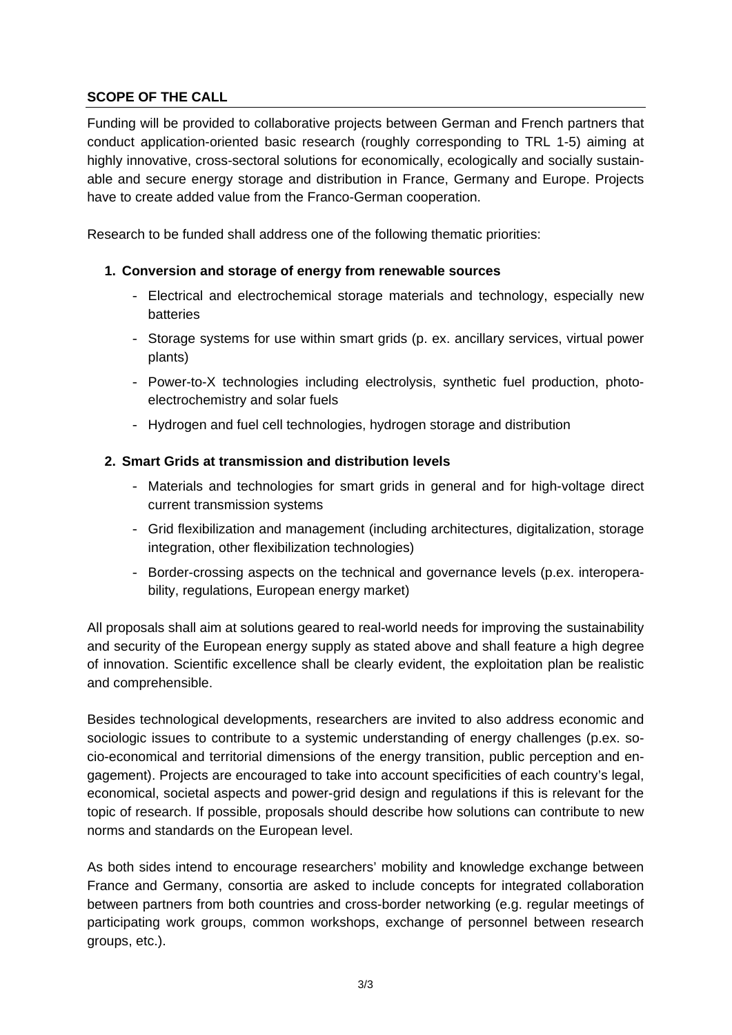# **SCOPE OF THE CALL**

Funding will be provided to collaborative projects between German and French partners that conduct application-oriented basic research (roughly corresponding to TRL 1-5) aiming at highly innovative, cross-sectoral solutions for economically, ecologically and socially sustainable and secure energy storage and distribution in France, Germany and Europe. Projects have to create added value from the Franco-German cooperation.

Research to be funded shall address one of the following thematic priorities:

### **1. Conversion and storage of energy from renewable sources**

- Electrical and electrochemical storage materials and technology, especially new batteries
- Storage systems for use within smart grids (p. ex. ancillary services, virtual power plants)
- Power-to-X technologies including electrolysis, synthetic fuel production, photoelectrochemistry and solar fuels
- Hydrogen and fuel cell technologies, hydrogen storage and distribution

# **2. Smart Grids at transmission and distribution levels**

- Materials and technologies for smart grids in general and for high-voltage direct current transmission systems
- Grid flexibilization and management (including architectures, digitalization, storage integration, other flexibilization technologies)
- Border-crossing aspects on the technical and governance levels (p.ex. interoperability, regulations, European energy market)

All proposals shall aim at solutions geared to real-world needs for improving the sustainability and security of the European energy supply as stated above and shall feature a high degree of innovation. Scientific excellence shall be clearly evident, the exploitation plan be realistic and comprehensible.

Besides technological developments, researchers are invited to also address economic and sociologic issues to contribute to a systemic understanding of energy challenges (p.ex. socio-economical and territorial dimensions of the energy transition, public perception and engagement). Projects are encouraged to take into account specificities of each country's legal, economical, societal aspects and power-grid design and regulations if this is relevant for the topic of research. If possible, proposals should describe how solutions can contribute to new norms and standards on the European level.

As both sides intend to encourage researchers' mobility and knowledge exchange between France and Germany, consortia are asked to include concepts for integrated collaboration between partners from both countries and cross-border networking (e.g. regular meetings of participating work groups, common workshops, exchange of personnel between research groups, etc.).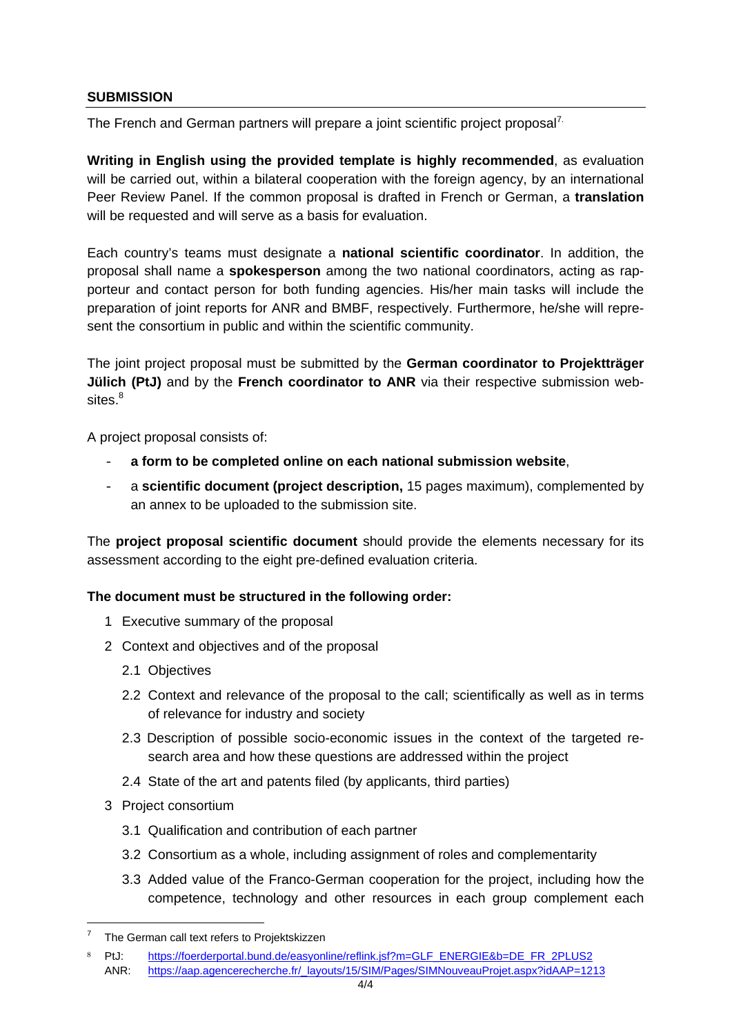#### **SUBMISSION**

The French and German partners will prepare a joint scientific project proposal<sup>7.</sup>

**Writing in English using the provided template is highly recommended**, as evaluation will be carried out, within a bilateral cooperation with the foreign agency, by an international Peer Review Panel. If the common proposal is drafted in French or German, a **translation** will be requested and will serve as a basis for evaluation.

Each country's teams must designate a **national scientific coordinator**. In addition, the proposal shall name a **spokesperson** among the two national coordinators, acting as rapporteur and contact person for both funding agencies. His/her main tasks will include the preparation of joint reports for ANR and BMBF, respectively. Furthermore, he/she will represent the consortium in public and within the scientific community.

The joint project proposal must be submitted by the **German coordinator to Projektträger Jülich (PtJ)** and by the **French coordinator to ANR** via their respective submission web $sites.<sup>8</sup>$ 

A project proposal consists of:

- **a form to be completed online on each national submission website**,
- a **scientific document (project description,** 15 pages maximum), complemented by an annex to be uploaded to the submission site.

The **project proposal scientific document** should provide the elements necessary for its assessment according to the eight pre-defined evaluation criteria.

# **The document must be structured in the following order:**

- 1 Executive summary of the proposal
- 2 Context and objectives and of the proposal
	- 2.1 Objectives
	- 2.2 Context and relevance of the proposal to the call; scientifically as well as in terms of relevance for industry and society
	- 2.3 Description of possible socio-economic issues in the context of the targeted research area and how these questions are addressed within the project
	- 2.4 State of the art and patents filed (by applicants, third parties)
- 3 Project consortium

- 3.1 Qualification and contribution of each partner
- 3.2 Consortium as a whole, including assignment of roles and complementarity
- 3.3 Added value of the Franco-German cooperation for the project, including how the competence, technology and other resources in each group complement each

<sup>7</sup> The German call text refers to Projektskizzen

<sup>8</sup> PtJ: https://foerderportal.bund.de/easyonline/reflink.jsf?m=GLF\_ENERGIE&b=DE\_FR\_2PLUS2 ANR: https://aap.agencerecherche.fr/\_layouts/15/SIM/Pages/SIMNouveauProjet.aspx?idAAP=1213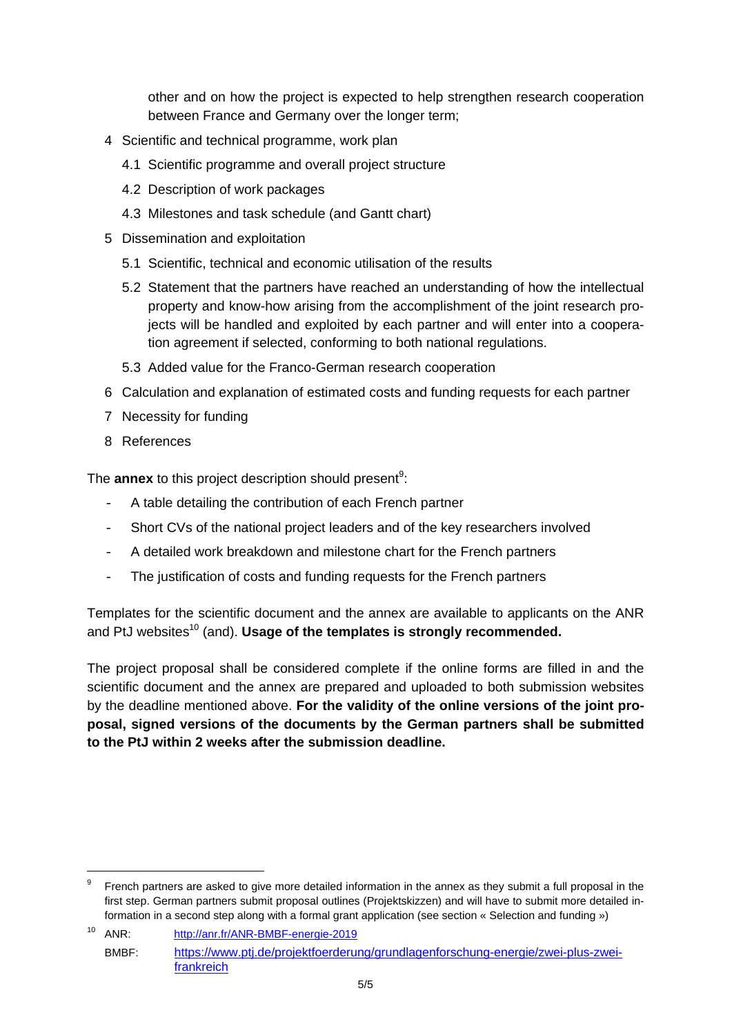other and on how the project is expected to help strengthen research cooperation between France and Germany over the longer term;

- 4 Scientific and technical programme, work plan
	- 4.1 Scientific programme and overall project structure
	- 4.2 Description of work packages
	- 4.3 Milestones and task schedule (and Gantt chart)
- 5 Dissemination and exploitation
	- 5.1 Scientific, technical and economic utilisation of the results
	- 5.2 Statement that the partners have reached an understanding of how the intellectual property and know-how arising from the accomplishment of the joint research projects will be handled and exploited by each partner and will enter into a cooperation agreement if selected, conforming to both national regulations.
	- 5.3 Added value for the Franco-German research cooperation
- 6 Calculation and explanation of estimated costs and funding requests for each partner
- 7 Necessity for funding

8 References

The **annex** to this project description should present<sup>9</sup>:

- A table detailing the contribution of each French partner
- Short CVs of the national project leaders and of the key researchers involved
- A detailed work breakdown and milestone chart for the French partners
- The justification of costs and funding requests for the French partners

Templates for the scientific document and the annex are available to applicants on the ANR and PtJ websites<sup>10</sup> (and). **Usage of the templates is strongly recommended.** 

The project proposal shall be considered complete if the online forms are filled in and the scientific document and the annex are prepared and uploaded to both submission websites by the deadline mentioned above. **For the validity of the online versions of the joint proposal, signed versions of the documents by the German partners shall be submitted to the PtJ within 2 weeks after the submission deadline.** 

French partners are asked to give more detailed information in the annex as they submit a full proposal in the first step. German partners submit proposal outlines (Projektskizzen) and will have to submit more detailed information in a second step along with a formal grant application (see section « Selection and funding »)

<sup>10</sup> ANR: http://anr.fr/ANR-BMBF-energie-2019 BMBF: https://www.ptj.de/projektfoerderung/grundlagenforschung-energie/zwei-plus-zweifrankreich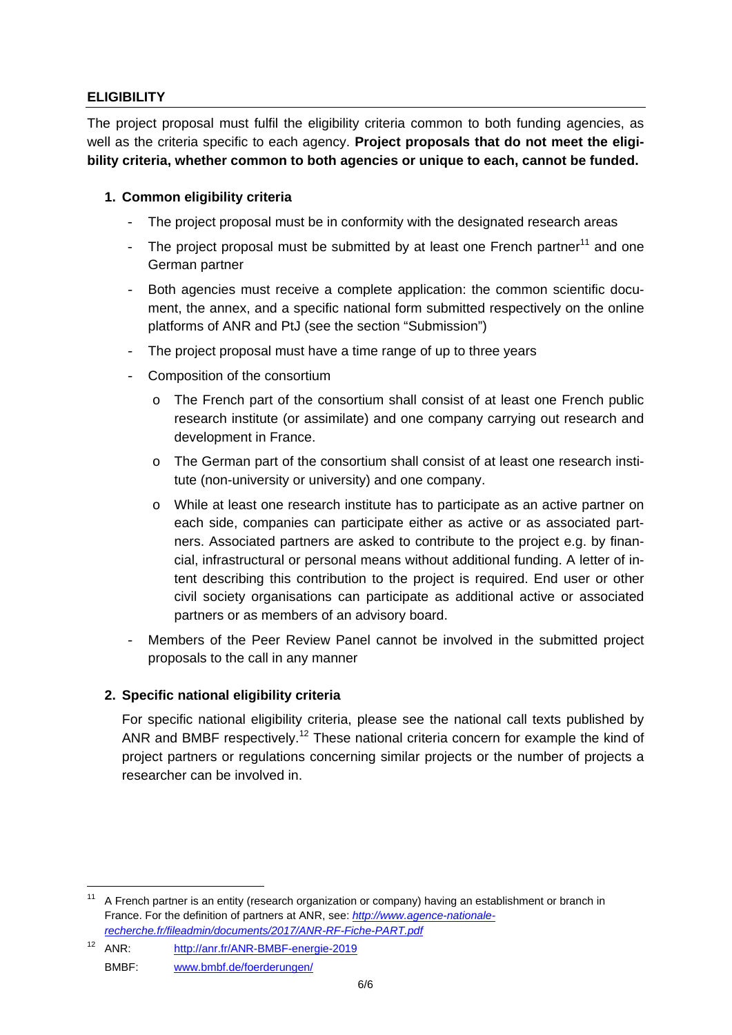# **ELIGIBILITY**

The project proposal must fulfil the eligibility criteria common to both funding agencies, as well as the criteria specific to each agency. **Project proposals that do not meet the eligibility criteria, whether common to both agencies or unique to each, cannot be funded.** 

### **1. Common eligibility criteria**

- The project proposal must be in conformity with the designated research areas
- The project proposal must be submitted by at least one French partner $11$  and one German partner
- Both agencies must receive a complete application: the common scientific document, the annex, and a specific national form submitted respectively on the online platforms of ANR and PtJ (see the section "Submission")
- The project proposal must have a time range of up to three years
- Composition of the consortium
	- o The French part of the consortium shall consist of at least one French public research institute (or assimilate) and one company carrying out research and development in France.
	- $\circ$  The German part of the consortium shall consist of at least one research institute (non-university or university) and one company.
	- o While at least one research institute has to participate as an active partner on each side, companies can participate either as active or as associated partners. Associated partners are asked to contribute to the project e.g. by financial, infrastructural or personal means without additional funding. A letter of intent describing this contribution to the project is required. End user or other civil society organisations can participate as additional active or associated partners or as members of an advisory board.
- Members of the Peer Review Panel cannot be involved in the submitted project proposals to the call in any manner

#### **2. Specific national eligibility criteria**

For specific national eligibility criteria, please see the national call texts published by ANR and BMBF respectively.<sup>12</sup> These national criteria concern for example the kind of project partners or regulations concerning similar projects or the number of projects a researcher can be involved in.

12 ANR: http://anr.fr/ANR-BMBF-energie-2019 BMBF: www.bmbf.de/foerderungen/

<sup>&</sup>lt;sup>11</sup> A French partner is an entity (research organization or company) having an establishment or branch in France. For the definition of partners at ANR, see: *http://www.agence-nationalerecherche.fr/fileadmin/documents/2017/ANR-RF-Fiche-PART.pdf*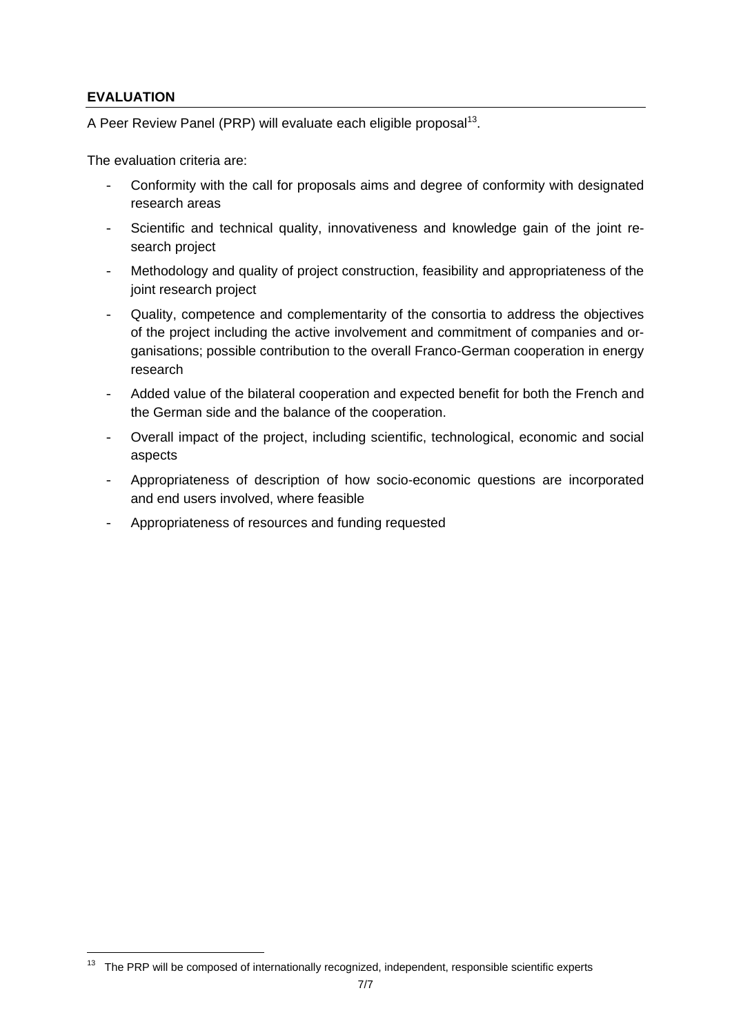# **EVALUATION**

A Peer Review Panel (PRP) will evaluate each eligible proposal<sup>13</sup>.

The evaluation criteria are:

- Conformity with the call for proposals aims and degree of conformity with designated research areas
- Scientific and technical quality, innovativeness and knowledge gain of the joint research project
- Methodology and quality of project construction, feasibility and appropriateness of the joint research project
- Quality, competence and complementarity of the consortia to address the objectives of the project including the active involvement and commitment of companies and organisations; possible contribution to the overall Franco-German cooperation in energy research
- Added value of the bilateral cooperation and expected benefit for both the French and the German side and the balance of the cooperation.
- Overall impact of the project, including scientific, technological, economic and social aspects
- Appropriateness of description of how socio-economic questions are incorporated and end users involved, where feasible
- Appropriateness of resources and funding requested

<sup>&</sup>lt;sup>13</sup> The PRP will be composed of internationally recognized, independent, responsible scientific experts